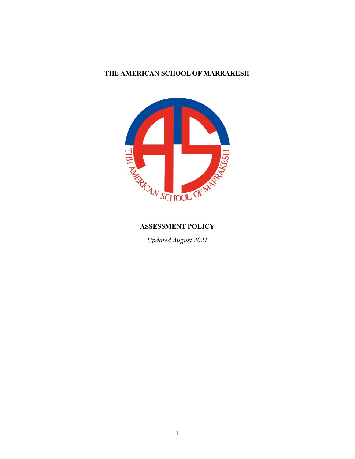# **THE AMERICAN SCHOOL OF MARRAKESH**



*Updated August 2021*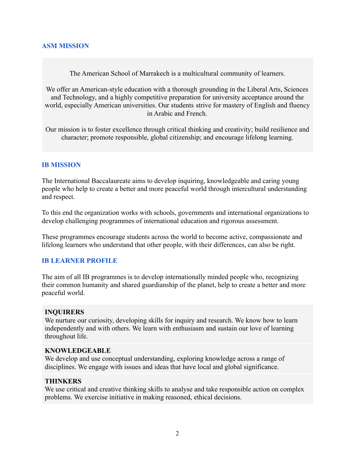## **ASM MISSION**

The American School of Marrakech is a multicultural community of learners.

We offer an American-style education with a thorough grounding in the Liberal Arts, Sciences and Technology, and a highly competitive preparation for university acceptance around the world, especially American universities. Our students strive for mastery of English and fluency in Arabic and French.

Our mission is to foster excellence through critical thinking and creativity; build resilience and character; promote responsible, global citizenship; and encourage lifelong learning.

#### **IB MISSION**

The International Baccalaureate aims to develop inquiring, knowledgeable and caring young people who help to create a better and more peaceful world through intercultural understanding and respect.

To this end the organization works with schools, governments and international organizations to develop challenging programmes of international education and rigorous assessment.

These programmes encourage students across the world to become active, compassionate and lifelong learners who understand that other people, with their differences, can also be right.

#### **IB LEARNER PROFILE**

The aim of all IB programmes is to develop internationally minded people who, recognizing their common humanity and shared guardianship of the planet, help to create a better and more peaceful world.

## **INQUIRERS**

We nurture our curiosity, developing skills for inquiry and research. We know how to learn independently and with others. We learn with enthusiasm and sustain our love of learning throughout life.

#### **KNOWLEDGEABLE**

We develop and use conceptual understanding, exploring knowledge across a range of disciplines. We engage with issues and ideas that have local and global significance.

#### **THINKERS**

We use critical and creative thinking skills to analyse and take responsible action on complex problems. We exercise initiative in making reasoned, ethical decisions.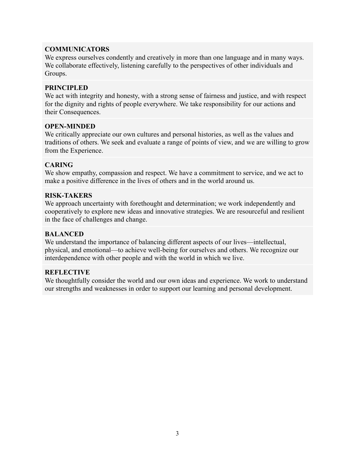## **COMMUNICATORS**

We express ourselves condently and creatively in more than one language and in many ways. We collaborate effectively, listening carefully to the perspectives of other individuals and Groups.

#### **PRINCIPLED**

We act with integrity and honesty, with a strong sense of fairness and justice, and with respect for the dignity and rights of people everywhere. We take responsibility for our actions and their Consequences.

#### **OPEN-MINDED**

We critically appreciate our own cultures and personal histories, as well as the values and traditions of others. We seek and evaluate a range of points of view, and we are willing to grow from the Experience.

#### **CARING**

We show empathy, compassion and respect. We have a commitment to service, and we act to make a positive difference in the lives of others and in the world around us.

#### **RISK-TAKERS**

We approach uncertainty with forethought and determination; we work independently and cooperatively to explore new ideas and innovative strategies. We are resourceful and resilient in the face of challenges and change.

## **BALANCED**

We understand the importance of balancing different aspects of our lives—intellectual, physical, and emotional—to achieve well-being for ourselves and others. We recognize our interdependence with other people and with the world in which we live.

## **REFLECTIVE**

We thoughtfully consider the world and our own ideas and experience. We work to understand our strengths and weaknesses in order to support our learning and personal development.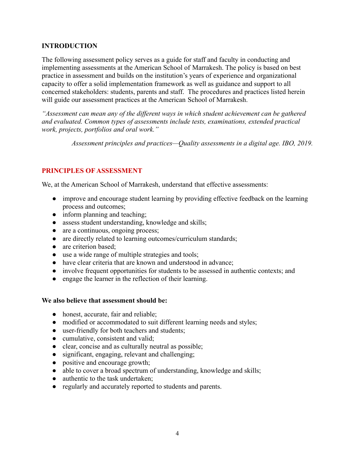## **INTRODUCTION**

The following assessment policy serves as a guide for staff and faculty in conducting and implementing assessments at the American School of Marrakesh. The policy is based on best practice in assessment and builds on the institution's years of experience and organizational capacity to offer a solid implementation framework as well as guidance and support to all concerned stakeholders: students, parents and staff. The procedures and practices listed herein will guide our assessment practices at the American School of Marrakesh.

*"Assessment can mean any of the different ways in which student achievement can be gathered and evaluated. Common types of assessments include tests, examinations, extended practical work, projects, portfolios and oral work."*

*Assessment principles and practices—Quality assessments in a digital age. IBO, 2019.*

## **PRINCIPLES OF ASSESSMENT**

We, at the American School of Marrakesh, understand that effective assessments:

- improve and encourage student learning by providing effective feedback on the learning process and outcomes;
- inform planning and teaching:
- assess student understanding, knowledge and skills;
- are a continuous, ongoing process;
- are directly related to learning outcomes/curriculum standards;
- are criterion based;
- use a wide range of multiple strategies and tools;
- have clear criteria that are known and understood in advance;
- involve frequent opportunities for students to be assessed in authentic contexts; and
- engage the learner in the reflection of their learning.

## **We also believe that assessment should be:**

- honest, accurate, fair and reliable;
- modified or accommodated to suit different learning needs and styles;
- user-friendly for both teachers and students;
- cumulative, consistent and valid:
- clear, concise and as culturally neutral as possible;
- significant, engaging, relevant and challenging;
- positive and encourage growth;
- able to cover a broad spectrum of understanding, knowledge and skills;
- authentic to the task undertaken;
- regularly and accurately reported to students and parents.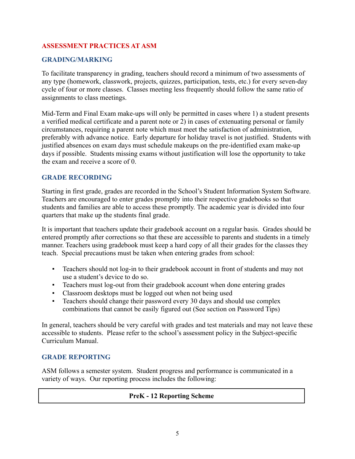## **ASSESSMENT PRACTICES AT ASM**

# **GRADING/MARKING**

To facilitate transparency in grading, teachers should record a minimum of two assessments of any type (homework, classwork, projects, quizzes, participation, tests, etc.) for every seven-day cycle of four or more classes. Classes meeting less frequently should follow the same ratio of assignments to class meetings.

Mid-Term and Final Exam make-ups will only be permitted in cases where 1) a student presents a verified medical certificate and a parent note or 2) in cases of extenuating personal or family circumstances, requiring a parent note which must meet the satisfaction of administration, preferably with advance notice. Early departure for holiday travel is not justified. Students with justified absences on exam days must schedule makeups on the pre-identified exam make-up days if possible. Students missing exams without justification will lose the opportunity to take the exam and receive a score of 0.

#### **GRADE RECORDING**

Starting in first grade, grades are recorded in the School's Student Information System Software. Teachers are encouraged to enter grades promptly into their respective gradebooks so that students and families are able to access these promptly. The academic year is divided into four quarters that make up the students final grade.

It is important that teachers update their gradebook account on a regular basis. Grades should be entered promptly after corrections so that these are accessible to parents and students in a timely manner. Teachers using gradebook must keep a hard copy of all their grades for the classes they teach. Special precautions must be taken when entering grades from school:

- Teachers should not log-in to their gradebook account in front of students and may not use a student's device to do so.
- Teachers must log-out from their gradebook account when done entering grades
- Classroom desktops must be logged out when not being used
- Teachers should change their password every 30 days and should use complex combinations that cannot be easily figured out (See section on Password Tips)

In general, teachers should be very careful with grades and test materials and may not leave these accessible to students. Please refer to the school's assessment policy in the Subject-specific Curriculum Manual.

## **GRADE REPORTING**

ASM follows a semester system. Student progress and performance is communicated in a variety of ways. Our reporting process includes the following:

## **PreK - 12 Reporting Scheme**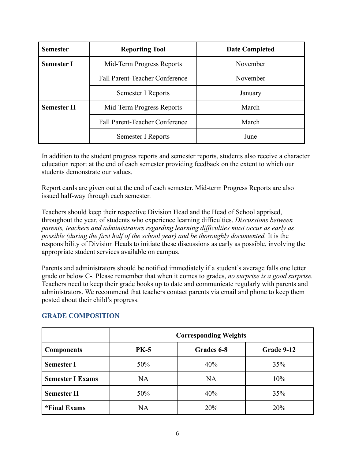| <b>Semester</b>    | <b>Reporting Tool</b>                 | <b>Date Completed</b> |
|--------------------|---------------------------------------|-----------------------|
| <b>Semester I</b>  | November<br>Mid-Term Progress Reports |                       |
|                    | <b>Fall Parent-Teacher Conference</b> | November              |
|                    | Semester I Reports                    | January               |
| <b>Semester II</b> | Mid-Term Progress Reports             | March                 |
|                    | <b>Fall Parent-Teacher Conference</b> | March                 |
|                    | Semester I Reports                    | June                  |

In addition to the student progress reports and semester reports, students also receive a character education report at the end of each semester providing feedback on the extent to which our students demonstrate our values.

Report cards are given out at the end of each semester. Mid-term Progress Reports are also issued half-way through each semester.

Teachers should keep their respective Division Head and the Head of School apprised, throughout the year, of students who experience learning difficulties. *Discussions between parents, teachers and administrators regarding learning difficulties must occur as early as possible (during the first half of the school year) and be thoroughly documented.* It is the responsibility of Division Heads to initiate these discussions as early as possible, involving the appropriate student services available on campus.

Parents and administrators should be notified immediately if a student's average falls one letter grade or below C-. Please remember that when it comes to grades, *no surprise is a good surprise.* Teachers need to keep their grade books up to date and communicate regularly with parents and administrators. We recommend that teachers contact parents via email and phone to keep them posted about their child's progress.

|                         | <b>Corresponding Weights</b> |            |            |
|-------------------------|------------------------------|------------|------------|
| <b>Components</b>       | <b>PK-5</b>                  | Grades 6-8 | Grade 9-12 |
| <b>Semester I</b>       | 50%                          | 40%        | 35%        |
| <b>Semester I Exams</b> | <b>NA</b>                    | <b>NA</b>  | 10%        |
| <b>Semester II</b>      | 50%                          | 40%        | 35%        |
| *Final Exams            | <b>NA</b>                    | 20%        | 20%        |

## **GRADE COMPOSITION**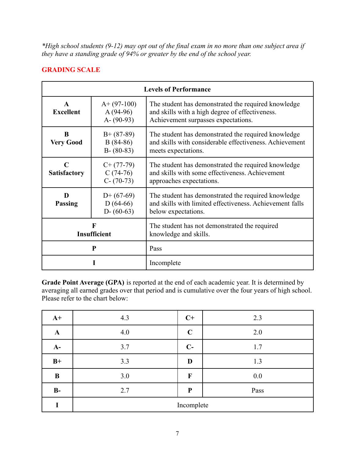*\*High school students (9-12) may opt out of the final exam in no more than one subject area if they have a standing grade of 94% or greater by the end of the school year.*

## **GRADING SCALE**

| <b>Levels of Performance</b>       |                                              |                                                                                                                                               |
|------------------------------------|----------------------------------------------|-----------------------------------------------------------------------------------------------------------------------------------------------|
| $\mathbf{A}$<br><b>Excellent</b>   | $A+ (97-100)$<br>$A(94-96)$<br>$A - (90-93)$ | The student has demonstrated the required knowledge<br>and skills with a high degree of effectiveness.<br>Achievement surpasses expectations. |
| B<br><b>Very Good</b>              | $B+ (87-89)$<br>$B(84-86)$<br>$B - (80-83)$  | The student has demonstrated the required knowledge<br>and skills with considerable effectiveness. Achievement<br>meets expectations.         |
| $\mathbf C$<br><b>Satisfactory</b> | $C+ (77-79)$<br>$C(74-76)$<br>$C - (70-73)$  | The student has demonstrated the required knowledge<br>and skills with some effectiveness. Achievement<br>approaches expectations.            |
| D<br><b>Passing</b>                | $D+$ (67-69)<br>$D(64-66)$<br>$D - (60-63)$  | The student has demonstrated the required knowledge<br>and skills with limited effectiveness. Achievement falls<br>below expectations.        |
|                                    | F<br>Insufficient                            | The student has not demonstrated the required<br>knowledge and skills.                                                                        |
|                                    | P                                            | Pass                                                                                                                                          |
|                                    |                                              | Incomplete                                                                                                                                    |

**Grade Point Average (GPA)** is reported at the end of each academic year. It is determined by averaging all earned grades over that period and is cumulative over the four years of high school. Please refer to the chart below:

| $A+$         | 4.3        | $C+$         | 2.3  |
|--------------|------------|--------------|------|
| $\mathbf{A}$ | 4.0        | $\mathbf C$  | 2.0  |
| $A-$         | 3.7        | $C-$         | 1.7  |
| $B+$         | 3.3        | D            | 1.3  |
| B            | 3.0        | $\mathbf F$  | 0.0  |
| $B-$         | 2.7        | $\mathbf{P}$ | Pass |
| I            | Incomplete |              |      |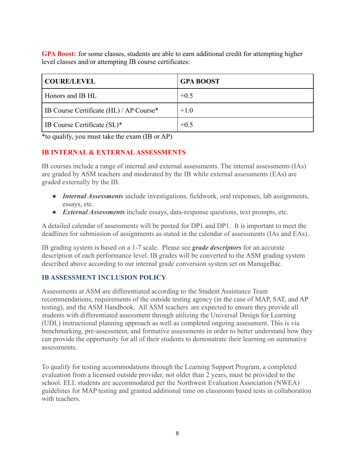**GPA Boost:** for some classes, students are able to earn additional credit for attempting higher level classes and/or attempting IB course certificates:

| COURE/LEVEL                                    | <b>GPA BOOST</b> |
|------------------------------------------------|------------------|
| Honors and IB HL                               | $+0.5$           |
| <b>IB Course Certificate (HL) / AP Course*</b> | $+1.0$           |
| <b>IB Course Certificate (SL)*</b>             | $+0.5$           |

\*to qualify, you must take the exam (IB or AP)

## **IB INTERNAL & EXTERNALASSESSMENTS**

IB courses include a range of internal and external assessments. The internal assessments (IAs) are graded by ASM teachers and moderated by the IB while external assessments (EAs) are graded externally by the IB.

- *Internal Assessments* include investigations, fieldwork, oral responses, lab assignments, essays, etc.
- *External Assessments* include essays, data-response questions, text prompts, etc.

A detailed calendar of assessments will be posted for DP1 and DP1. It is important to meet the deadlines for submission of assignments as stated in the calendar of assessments (IAs and EAs)..

IB grading system is based on a 1-7 scale. Please see *grade descriptors* for an accurate description of each performance level. IB grades will be converted to the ASM grading system described above according to our internal grade conversion system set on ManageBac.

# **IB ASSESSMENT INCLUSION POLICY**

Assessments at ASM are differentiated according to the Student Assistance Team recommendations, requirements of the outside testing agency (in the case of MAP, SAT, and AP testing), and the ASM Handbook. All ASM teachers are expected to ensure they provide all students with differentiated assessment through utilizing the Universal Design for Learning (UDL) instructional planning approach as well as completed ongoing assessment. This is via benchmarking, pre-assessment, and formative assessments in order to better understand how they can provide the opportunity for all of their students to demonstrate their learning on summative assessments.

To qualify for testing accommodations through the Learning Support Program, a completed evaluation from a licensed outside provider, not older than 2 years, must be provided to the school. ELL students are accommodated per the Northwest Evaluation Association (NWEA) guidelines for MAP testing and granted additional time on classroom based tests in collaboration with teachers.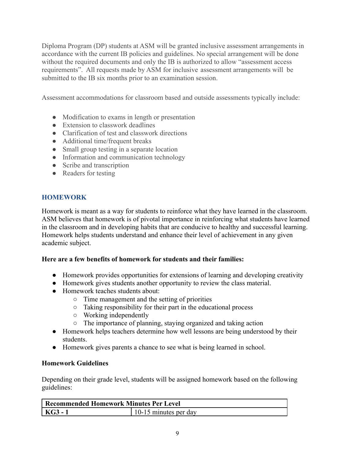Diploma Program (DP) students at ASM will be granted inclusive assessment arrangements in accordance with the current IB policies and guidelines. No special arrangement will be done without the required documents and only the IB is authorized to allow "assessment access" requirements". All requests made by ASM for inclusive assessment arrangements will be submitted to the IB six months prior to an examination session.

Assessment accommodations for classroom based and outside assessments typically include:

- Modification to exams in length or presentation
- Extension to classwork deadlines
- Clarification of test and classwork directions
- Additional time/frequent breaks
- Small group testing in a separate location
- Information and communication technology
- Scribe and transcription
- Readers for testing

# **HOMEWORK**

Homework is meant as a way for students to reinforce what they have learned in the classroom. ASM believes that homework is of pivotal importance in reinforcing what students have learned in the classroom and in developing habits that are conducive to healthy and successful learning. Homework helps students understand and enhance their level of achievement in any given academic subject.

## **Here are a few benefits of homework for students and their families:**

- Homework provides opportunities for extensions of learning and developing creativity
- Homework gives students another opportunity to review the class material.
- Homework teaches students about:
	- Time management and the setting of priorities
	- Taking responsibility for their part in the educational process
	- Working independently
	- The importance of planning, staying organized and taking action
- Homework helps teachers determine how well lessons are being understood by their students.
- Homework gives parents a chance to see what is being learned in school.

# **Homework Guidelines**

Depending on their grade level, students will be assigned homework based on the following guidelines:

| Recommended Homework Minutes Per Level |                       |
|----------------------------------------|-----------------------|
| KG3 - 1                                | 10-15 minutes per day |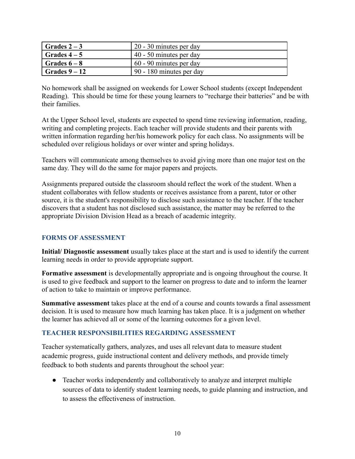| $\sqrt{Gra}$ Grades 2 – 3 | $120 - 30$ minutes per day |
|---------------------------|----------------------------|
| $\sqrt{6r}$ Grades 4 – 5  | $40 - 50$ minutes per day  |
| $\sqrt{6r}$ Grades $6-8$  | 60 - 90 minutes per day    |
| $\sqrt{Grades 9-12}$      | $90 - 180$ minutes per day |

No homework shall be assigned on weekends for Lower School students (except Independent Reading). This should be time for these young learners to "recharge their batteries" and be with their families.

At the Upper School level, students are expected to spend time reviewing information, reading, writing and completing projects. Each teacher will provide students and their parents with written information regarding her/his homework policy for each class. No assignments will be scheduled over religious holidays or over winter and spring holidays.

Teachers will communicate among themselves to avoid giving more than one major test on the same day. They will do the same for major papers and projects.

Assignments prepared outside the classroom should reflect the work of the student. When a student collaborates with fellow students or receives assistance from a parent, tutor or other source, it is the student's responsibility to disclose such assistance to the teacher. If the teacher discovers that a student has not disclosed such assistance, the matter may be referred to the appropriate Division Division Head as a breach of academic integrity.

## **FORMS OF ASSESSMENT**

**Initial/ Diagnostic assessment** usually takes place at the start and is used to identify the current learning needs in order to provide appropriate support.

**Formative assessment** is developmentally appropriate and is ongoing throughout the course. It is used to give feedback and support to the learner on progress to date and to inform the learner of action to take to maintain or improve performance.

**Summative assessment** takes place at the end of a course and counts towards a final assessment decision. It is used to measure how much learning has taken place. It is a judgment on whether the learner has achieved all or some of the learning outcomes for a given level.

## **TEACHER RESPONSIBILITIES REGARDING ASSESSMENT**

Teacher systematically gathers, analyzes, and uses all relevant data to measure student academic progress, guide instructional content and delivery methods, and provide timely feedback to both students and parents throughout the school year:

● Teacher works independently and collaboratively to analyze and interpret multiple sources of data to identify student learning needs, to guide planning and instruction, and to assess the effectiveness of instruction.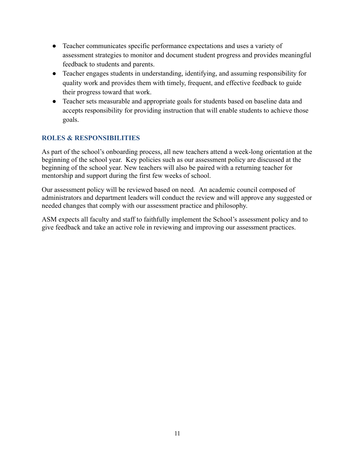- Teacher communicates specific performance expectations and uses a variety of assessment strategies to monitor and document student progress and provides meaningful feedback to students and parents.
- Teacher engages students in understanding, identifying, and assuming responsibility for quality work and provides them with timely, frequent, and effective feedback to guide their progress toward that work.
- Teacher sets measurable and appropriate goals for students based on baseline data and accepts responsibility for providing instruction that will enable students to achieve those goals.

# **ROLES & RESPONSIBILITIES**

As part of the school's onboarding process, all new teachers attend a week-long orientation at the beginning of the school year. Key policies such as our assessment policy are discussed at the beginning of the school year. New teachers will also be paired with a returning teacher for mentorship and support during the first few weeks of school.

Our assessment policy will be reviewed based on need. An academic council composed of administrators and department leaders will conduct the review and will approve any suggested or needed changes that comply with our assessment practice and philosophy.

ASM expects all faculty and staff to faithfully implement the School's assessment policy and to give feedback and take an active role in reviewing and improving our assessment practices.